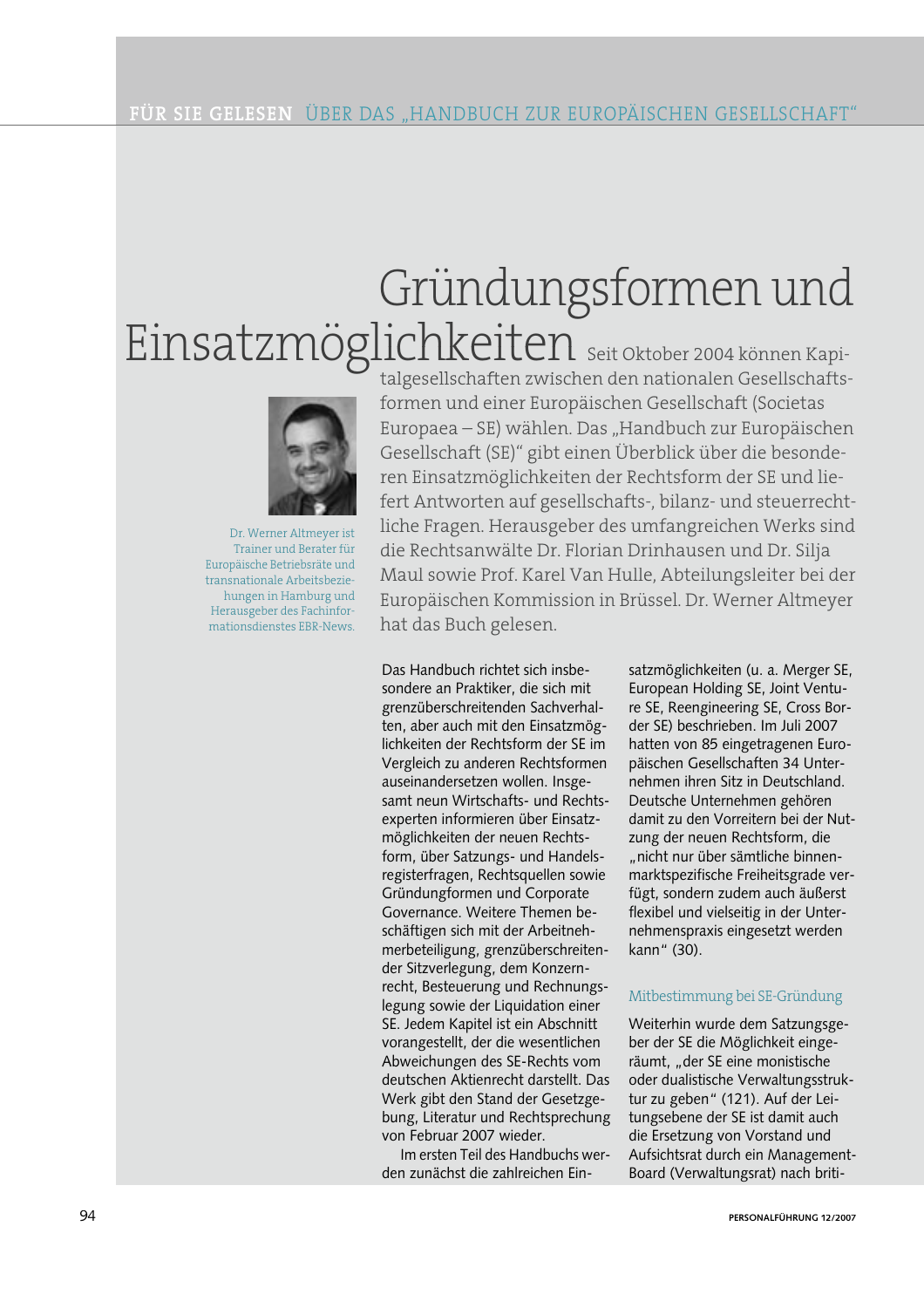# Gründungsformen und Einsatzmöglichkeiten seit Oktober 2004 können Kapi-



Dr. Werner Altmeyer ist Trainer und Berater für Europäische Betriebsräte und transnationale Arbeitsbeziehungen in Hamburg und Herausgeber des Fachinformationsdienstes EBR-News.

talgesellschaften zwischen den nationalen Gesellschaftsformen und einer Europäischen Gesellschaft (Societas Europaea – SE) wählen. Das "Handbuch zur Europäischen Gesellschaft (SE)" gibt einen Überblick über die besonderen Einsatzmöglichkeiten der Rechtsform der SE und liefert Antworten auf gesellschafts-, bilanz- und steuerrechtliche Fragen. Herausgeber des umfangreichen Werks sind die Rechtsanwälte Dr. Florian Drinhausen und Dr. Silja Maul sowie Prof. Karel Van Hulle, Abteilungsleiter bei der Europäischen Kommission in Brüssel. Dr. Werner Altmeyer hat das Buch gelesen.

Das Handbuch richtet sich insbesondere an Praktiker, die sich mit grenzüberschreitenden Sachverhalten, aber auch mit den Einsatzmöglichkeiten der Rechtsform der SE im Vergleich zu anderen Rechtsformen auseinandersetzen wollen. Insgesamt neun Wirtschafts- und Rechtsexperten informieren über Einsatzmöglichkeiten der neuen Rechtsform, über Satzungs- und Handelsregisterfragen, Rechtsquellen sowie Gründungformen und Corporate Governance. Weitere Themen beschäftigen sich mit der Arbeitnehmerbeteiligung, grenzüberschreitender Sitzverlegung, dem Konzernrecht, Besteuerung und Rechnungslegung sowie der Liquidation einer SE. Jedem Kapitel ist ein Abschnitt vorangestellt, der die wesentlichen Abweichungen des SE-Rechts vom deutschen Aktienrecht darstellt. Das Werk gibt den Stand der Gesetzgebung, Literatur und Rechtsprechung von Februar 2007 wieder.

Im ersten Teil des Handbuchs werden zunächst die zahlreichen Einsatzmöglichkeiten (u. a. Merger SE, European Holding SE, Joint Venture SE, Reengineering SE, Cross Border SE) beschrieben. Im Juli 2007 hatten von 85 eingetragenen Europäischen Gesellschaften 34 Unternehmen ihren Sitz in Deutschland. Deutsche Unternehmen gehören damit zu den Vorreitern bei der Nutzung der neuen Rechtsform, die "nicht nur über sämtliche binnenmarktspezifische Freiheitsgrade verfügt, sondern zudem auch äußerst flexibel und vielseitig in der Unternehmenspraxis eingesetzt werden kann" (30).

### Mitbestimmung bei SE-Gründung

Weiterhin wurde dem Satzungsgeber der SE die Möglichkeit eingeräumt, "der SE eine monistische oder dualistische Verwaltungsstruktur zu geben" (121). Auf der Leitungsebene der SE ist damit auch die Ersetzung von Vorstand und Aufsichtsrat durch ein Management-Board (Verwaltungsrat) nach briti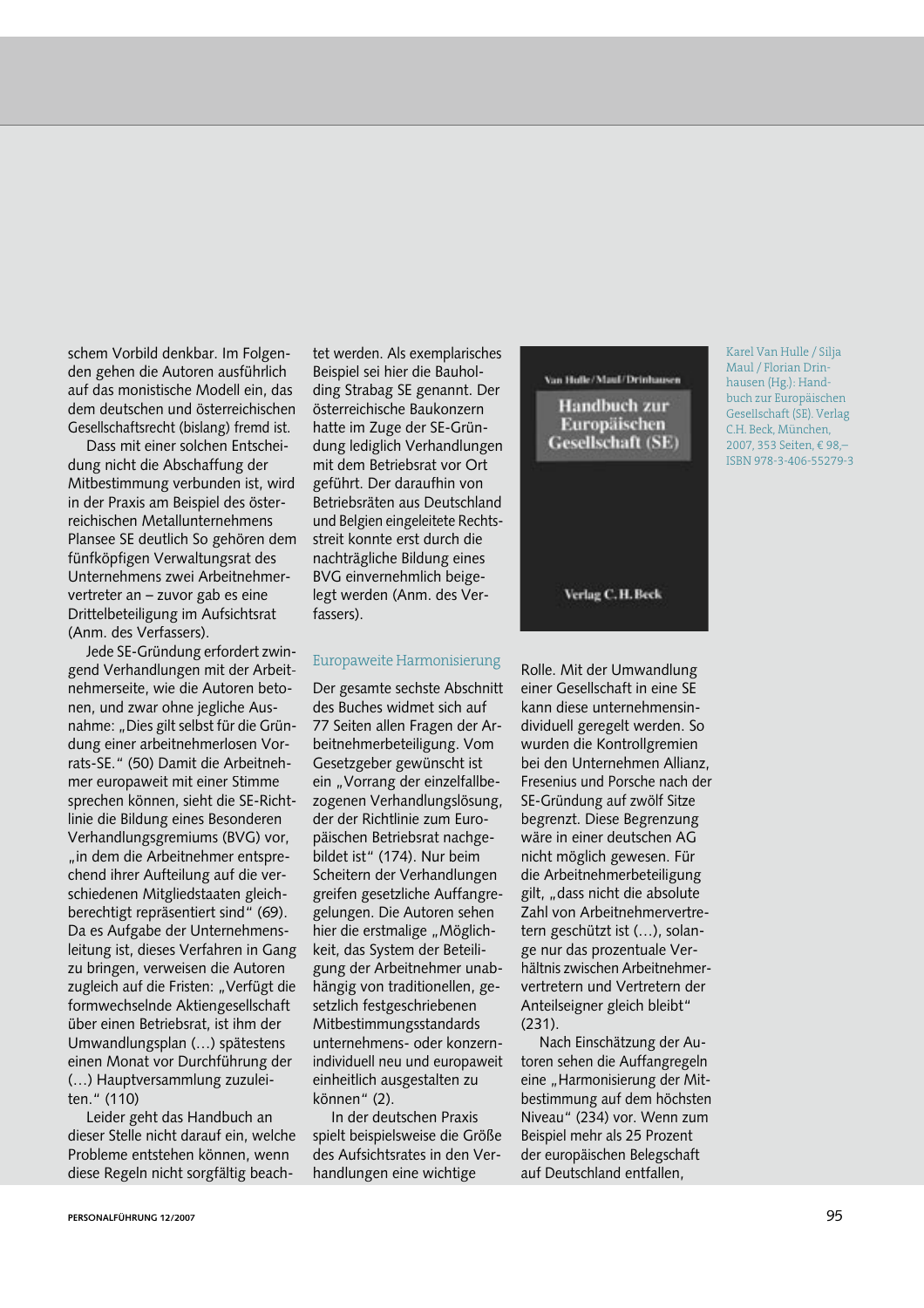schem Vorbild denkbar. Im Folgenden gehen die Autoren ausführlich auf das monistische Modell ein, das dem deutschen und österreichischen Gesellschaftsrecht (bislang) fremd ist.

Dass mit einer solchen Entscheidung nicht die Abschaffung der Mitbestimmung verbunden ist, wird in der Praxis am Beispiel des österreichischen Metallunternehmens Plansee SE deutlich So gehören dem fünfköpfigen Verwaltungsrat des Unternehmens zwei Arbeitnehmervertreter an - zuvor gab es eine Drittelbeteiligung im Aufsichtsrat (Anm. des Verfassers).

Jede SE-Gründung erfordert zwingend Verhandlungen mit der Arbeitnehmerseite, wie die Autoren betonen, und zwar ohne jegliche Ausnahme: "Dies gilt selbst für die Gründung einer arbeitnehmerlosen Vorrats-SE." (50) Damit die Arbeitnehmer europaweit mit einer Stimme sprechen können, sieht die SE-Richtlinie die Bildung eines Besonderen Verhandlungsgremiums (BVG) vor, "in dem die Arbeitnehmer entsprechend ihrer Aufteilung auf die verschiedenen Mitgliedstaaten gleichberechtigt repräsentiert sind" (69). Da es Aufgabe der Unternehmensleitung ist, dieses Verfahren in Gang zu bringen, verweisen die Autoren zugleich auf die Fristen: "Verfügt die formwechselnde Aktiengesellschaft über einen Betriebsrat, ist ihm der Umwandlungsplan (...) spätestens einen Monat vor Durchführung der (...) Hauptversammlung zuzuleiten." (110)

Leider geht das Handbuch an dieser Stelle nicht darauf ein, welche Probleme entstehen können, wenn diese Regeln nicht sorgfältig beach-

tet werden. Als exemplarisches Beispiel sei hier die Bauholding Strabag SE genannt. Der österreichische Baukonzern hatte im Zuge der SE-Gründung lediglich Verhandlungen mit dem Betriebsrat vor Ort geführt. Der daraufhin von Betriebsräten aus Deutschland und Belgien eingeleitete Rechtsstreit konnte erst durch die nachträgliche Bildung eines BVG einvernehmlich beigelegt werden (Anm. des Verfassers).

#### Europaweite Harmonisierung

Der gesamte sechste Abschnitt des Buches widmet sich auf 77 Seiten allen Fragen der Arbeitnehmerbeteiligung. Vom Gesetzgeber gewünscht ist ein "Vorrang der einzelfallbezogenen Verhandlungslösung, der der Richtlinie zum Europäischen Betriebsrat nachgebildet ist" (174). Nur beim Scheitern der Verhandlungen greifen gesetzliche Auffangregelungen. Die Autoren sehen hier die erstmalige "Möglichkeit, das System der Beteiligung der Arbeitnehmer unabhängig von traditionellen, gesetzlich festgeschriebenen Mitbestimmungsstandards unternehmens- oder konzernindividuell neu und europaweit einheitlich ausgestalten zu können" (2).

In der deutschen Praxis spielt beispielsweise die Größe des Aufsichtsrates in den Verhandlungen eine wichtige

## Van Hulle/Maul/Drinhausen **Handbuch zur** Europäischen **Gesellschaft** (SE)

Karel Van Hulle / Silja Maul / Florian Drinhausen (Hg.): Handbuch zur Europäischen Gesellschaft (SE). Verlag C.H. Beck, München, 2007, 353 Seiten, € 98, ISBN 978-3-406-55279-3

Verlag C.H. Beck

Rolle. Mit der Umwandlung einer Gesellschaft in eine SE kann diese unternehmensindividuell geregelt werden. So wurden die Kontrollgremien bei den Unternehmen Allianz. Fresenius und Porsche nach der SE-Gründung auf zwölf Sitze begrenzt. Diese Begrenzung wäre in einer deutschen AG nicht möglich gewesen. Für die Arbeitnehmerbeteiligung gilt. "dass nicht die absolute Zahl von Arbeitnehmervertretern geschützt ist (...), solange nur das prozentuale Verhältnis zwischen Arbeitnehmervertretern und Vertretern der Anteilseigner gleich bleibt"  $(231).$ 

Nach Einschätzung der Autoren sehen die Auffangregeln eine "Harmonisierung der Mitbestimmung auf dem höchsten Niveau" (234) vor. Wenn zum Beispiel mehr als 25 Prozent der europäischen Belegschaft auf Deutschland entfallen.